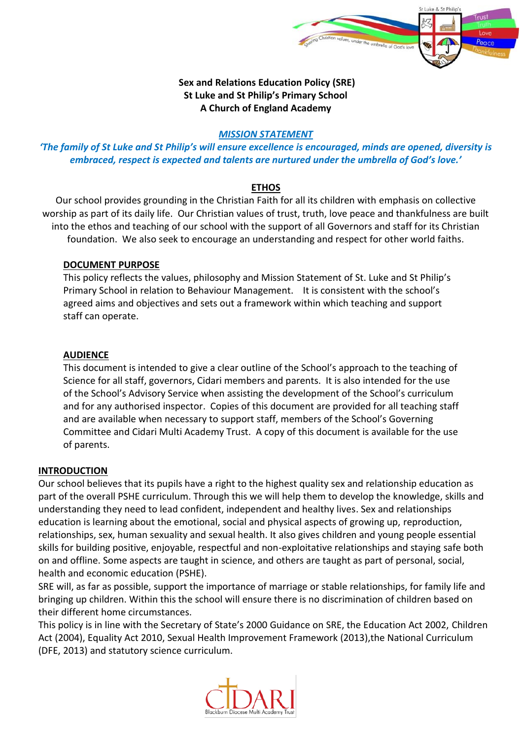

### **Sex and Relations Education Policy (SRE) St Luke and St Philip's Primary School A Church of England Academy**

#### *MISSION STATEMENT*

# *'The family of St Luke and St Philip's will ensure excellence is encouraged, minds are opened, diversity is embraced, respect is expected and talents are nurtured under the umbrella of God's love.'*

### **ETHOS**

Our school provides grounding in the Christian Faith for all its children with emphasis on collective worship as part of its daily life. Our Christian values of trust, truth, love peace and thankfulness are built into the ethos and teaching of our school with the support of all Governors and staff for its Christian foundation. We also seek to encourage an understanding and respect for other world faiths.

#### **DOCUMENT PURPOSE**

This policy reflects the values, philosophy and Mission Statement of St. Luke and St Philip's Primary School in relation to Behaviour Management. It is consistent with the school's agreed aims and objectives and sets out a framework within which teaching and support staff can operate.

### **AUDIENCE**

This document is intended to give a clear outline of the School's approach to the teaching of Science for all staff, governors, Cidari members and parents. It is also intended for the use of the School's Advisory Service when assisting the development of the School's curriculum and for any authorised inspector. Copies of this document are provided for all teaching staff and are available when necessary to support staff, members of the School's Governing Committee and Cidari Multi Academy Trust. A copy of this document is available for the use of parents.

#### **INTRODUCTION**

Our school believes that its pupils have a right to the highest quality sex and relationship education as part of the overall PSHE curriculum. Through this we will help them to develop the knowledge, skills and understanding they need to lead confident, independent and healthy lives. Sex and relationships education is learning about the emotional, social and physical aspects of growing up, reproduction, relationships, sex, human sexuality and sexual health. It also gives children and young people essential skills for building positive, enjoyable, respectful and non-exploitative relationships and staying safe both on and offline. Some aspects are taught in science, and others are taught as part of personal, social, health and economic education (PSHE).

SRE will, as far as possible, support the importance of marriage or stable relationships, for family life and bringing up children. Within this the school will ensure there is no discrimination of children based on their different home circumstances.

This policy is in line with the Secretary of State's 2000 Guidance on SRE, the Education Act 2002, Children Act (2004), Equality Act 2010, Sexual Health Improvement Framework (2013),the National Curriculum (DFE, 2013) and statutory science curriculum.

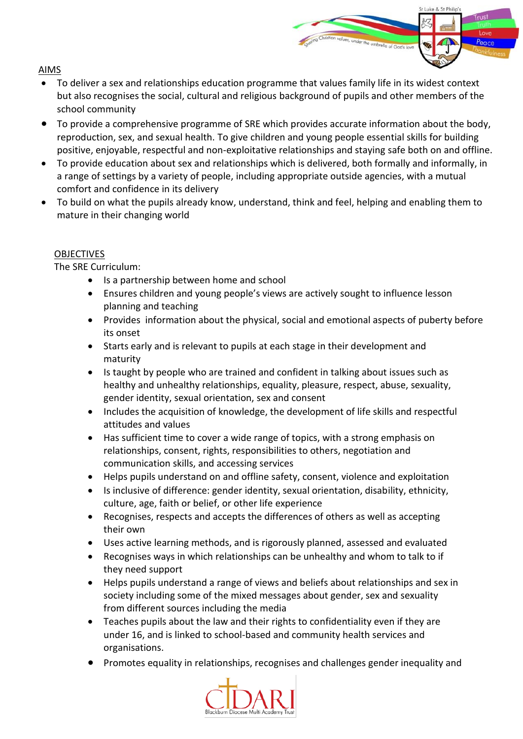## AIMS

 To deliver a sex and relationships education programme that values family life in its widest context but also recognises the social, cultural and religious background of pupils and other members of the school community

St Luke & St Philing

- To provide a comprehensive programme of SRE which provides accurate information about the body, reproduction, sex, and sexual health. To give children and young people essential skills for building positive, enjoyable, respectful and non-exploitative relationships and staying safe both on and offline.
- To provide education about sex and relationships which is delivered, both formally and informally, in a range of settings by a variety of people, including appropriate outside agencies, with a mutual comfort and confidence in its delivery
- To build on what the pupils already know, understand, think and feel, helping and enabling them to mature in their changing world

## **OBJECTIVES**

The SRE Curriculum:

- Is a partnership between home and school
- Ensures children and young people's views are actively sought to influence lesson planning and teaching
- Provides information about the physical, social and emotional aspects of puberty before its onset
- Starts early and is relevant to pupils at each stage in their development and maturity
- Is taught by people who are trained and confident in talking about issues such as healthy and unhealthy relationships, equality, pleasure, respect, abuse, sexuality, gender identity, sexual orientation, sex and consent
- Includes the acquisition of knowledge, the development of life skills and respectful attitudes and values
- Has sufficient time to cover a wide range of topics, with a strong emphasis on relationships, consent, rights, responsibilities to others, negotiation and communication skills, and accessing services
- Helps pupils understand on and offline safety, consent, violence and exploitation
- Is inclusive of difference: gender identity, sexual orientation, disability, ethnicity, culture, age, faith or belief, or other life experience
- Recognises, respects and accepts the differences of others as well as accepting their own
- Uses active learning methods, and is rigorously planned, assessed and evaluated
- Recognises ways in which relationships can be unhealthy and whom to talk to if they need support
- Helps pupils understand a range of views and beliefs about relationships and sex in society including some of the mixed messages about gender, sex and sexuality from different sources including the media
- Teaches pupils about the law and their rights to confidentiality even if they are under 16, and is linked to school-based and community health services and organisations.
- Promotes equality in relationships, recognises and challenges gender inequality and

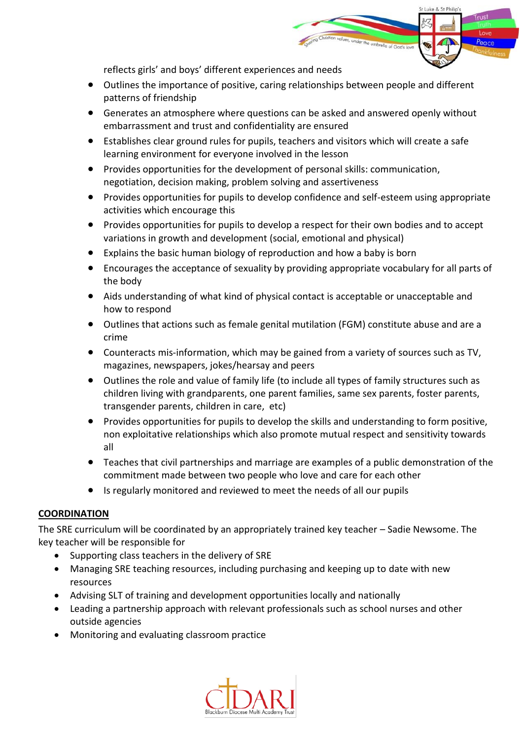

reflects girls' and boys' different experiences and needs

- Outlines the importance of positive, caring relationships between people and different patterns of friendship
- Generates an atmosphere where questions can be asked and answered openly without embarrassment and trust and confidentiality are ensured
- Establishes clear ground rules for pupils, teachers and visitors which will create a safe learning environment for everyone involved in the lesson
- Provides opportunities for the development of personal skills: communication, negotiation, decision making, problem solving and assertiveness
- Provides opportunities for pupils to develop confidence and self-esteem using appropriate activities which encourage this
- Provides opportunities for pupils to develop a respect for their own bodies and to accept variations in growth and development (social, emotional and physical)
- Explains the basic human biology of reproduction and how a baby is born
- Encourages the acceptance of sexuality by providing appropriate vocabulary for all parts of the body
- Aids understanding of what kind of physical contact is acceptable or unacceptable and how to respond
- Outlines that actions such as female genital mutilation (FGM) constitute abuse and are a crime
- Counteracts mis-information, which may be gained from a variety of sources such as TV, magazines, newspapers, jokes/hearsay and peers
- Outlines the role and value of family life (to include all types of family structures such as children living with grandparents, one parent families, same sex parents, foster parents, transgender parents, children in care, etc)
- Provides opportunities for pupils to develop the skills and understanding to form positive, non exploitative relationships which also promote mutual respect and sensitivity towards all
- Teaches that civil partnerships and marriage are examples of a public demonstration of the commitment made between two people who love and care for each other
- Is regularly monitored and reviewed to meet the needs of all our pupils

# **COORDINATION**

The SRE curriculum will be coordinated by an appropriately trained key teacher – Sadie Newsome. The key teacher will be responsible for

- Supporting class teachers in the delivery of SRE
- Managing SRE teaching resources, including purchasing and keeping up to date with new resources
- Advising SLT of training and development opportunities locally and nationally
- Leading a partnership approach with relevant professionals such as school nurses and other outside agencies
- Monitoring and evaluating classroom practice

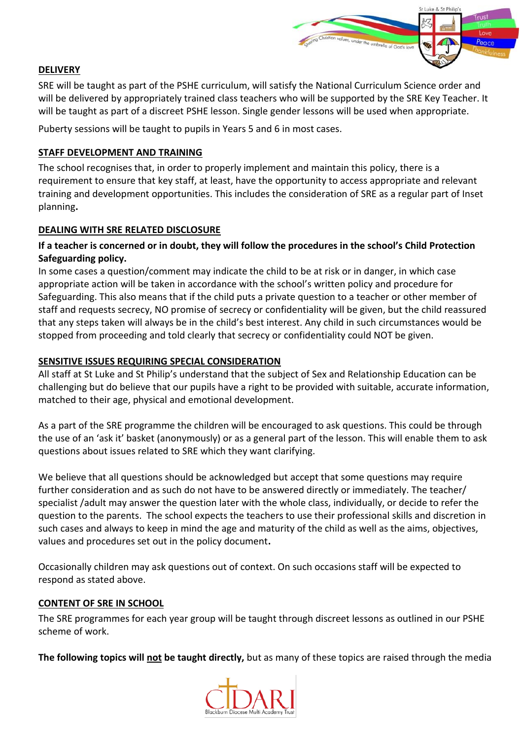

## **DELIVERY**

SRE will be taught as part of the PSHE curriculum, will satisfy the National Curriculum Science order and will be delivered by appropriately trained class teachers who will be supported by the SRE Key Teacher. It will be taught as part of a discreet PSHE lesson. Single gender lessons will be used when appropriate.

Puberty sessions will be taught to pupils in Years 5 and 6 in most cases.

### **STAFF DEVELOPMENT AND TRAINING**

The school recognises that, in order to properly implement and maintain this policy, there is a requirement to ensure that key staff, at least, have the opportunity to access appropriate and relevant training and development opportunities. This includes the consideration of SRE as a regular part of Inset planning**.**

### **DEALING WITH SRE RELATED DISCLOSURE**

## **If a teacher is concerned or in doubt, they will follow the procedures in the school's Child Protection Safeguarding policy.**

In some cases a question/comment may indicate the child to be at risk or in danger, in which case appropriate action will be taken in accordance with the school's written policy and procedure for Safeguarding. This also means that if the child puts a private question to a teacher or other member of staff and requests secrecy, NO promise of secrecy or confidentiality will be given, but the child reassured that any steps taken will always be in the child's best interest. Any child in such circumstances would be stopped from proceeding and told clearly that secrecy or confidentiality could NOT be given.

### **SENSITIVE ISSUES REQUIRING SPECIAL CONSIDERATION**

All staff at St Luke and St Philip's understand that the subject of Sex and Relationship Education can be challenging but do believe that our pupils have a right to be provided with suitable, accurate information, matched to their age, physical and emotional development.

As a part of the SRE programme the children will be encouraged to ask questions. This could be through the use of an 'ask it' basket (anonymously) or as a general part of the lesson. This will enable them to ask questions about issues related to SRE which they want clarifying.

We believe that all questions should be acknowledged but accept that some questions may require further consideration and as such do not have to be answered directly or immediately. The teacher/ specialist /adult may answer the question later with the whole class, individually, or decide to refer the question to the parents. The school expects the teachers to use their professional skills and discretion in such cases and always to keep in mind the age and maturity of the child as well as the aims, objectives, values and procedures set out in the policy document**.** 

Occasionally children may ask questions out of context. On such occasions staff will be expected to respond as stated above.

#### **CONTENT OF SRE IN SCHOOL**

The SRE programmes for each year group will be taught through discreet lessons as outlined in our PSHE scheme of work.

**The following topics will not be taught directly,** but as many of these topics are raised through the media

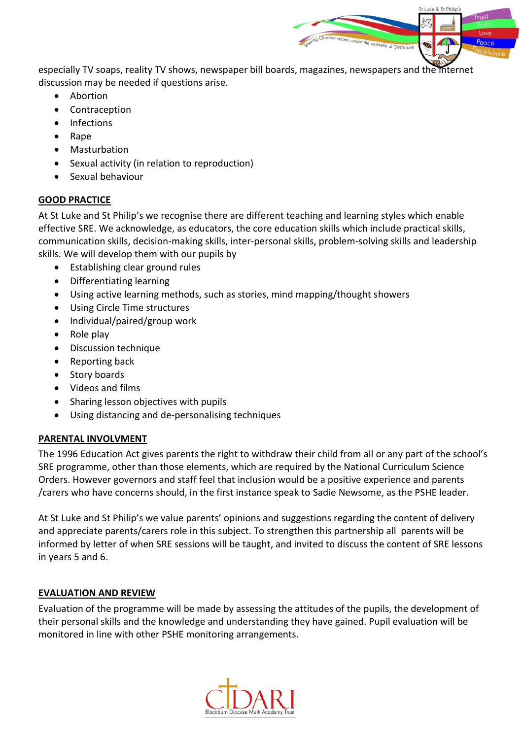especially TV soaps, reality TV shows, newspaper bill boards, magazines, newspapers and the internet discussion may be needed if questions arise.

St Luke & St Philip

- Abortion
- Contraception
- Infections
- Rape
- Masturbation
- Sexual activity (in relation to reproduction)
- Sexual behaviour

#### **GOOD PRACTICE**

At St Luke and St Philip's we recognise there are different teaching and learning styles which enable effective SRE. We acknowledge, as educators, the core education skills which include practical skills, communication skills, decision-making skills, inter-personal skills, problem-solving skills and leadership skills. We will develop them with our pupils by

- Establishing clear ground rules
- Differentiating learning
- Using active learning methods, such as stories, mind mapping/thought showers
- Using Circle Time structures
- Individual/paired/group work
- $\bullet$  Role play
- Discussion technique
- Reporting back
- Story boards
- Videos and films
- Sharing lesson objectives with pupils
- Using distancing and de-personalising techniques

### **PARENTAL INVOLVMENT**

The 1996 Education Act gives parents the right to withdraw their child from all or any part of the school's SRE programme, other than those elements, which are required by the National Curriculum Science Orders. However governors and staff feel that inclusion would be a positive experience and parents /carers who have concerns should, in the first instance speak to Sadie Newsome, as the PSHE leader.

At St Luke and St Philip's we value parents' opinions and suggestions regarding the content of delivery and appreciate parents/carers role in this subject. To strengthen this partnership all parents will be informed by letter of when SRE sessions will be taught, and invited to discuss the content of SRE lessons in years 5 and 6.

### **EVALUATION AND REVIEW**

Evaluation of the programme will be made by assessing the attitudes of the pupils, the development of their personal skills and the knowledge and understanding they have gained. Pupil evaluation will be monitored in line with other PSHE monitoring arrangements.